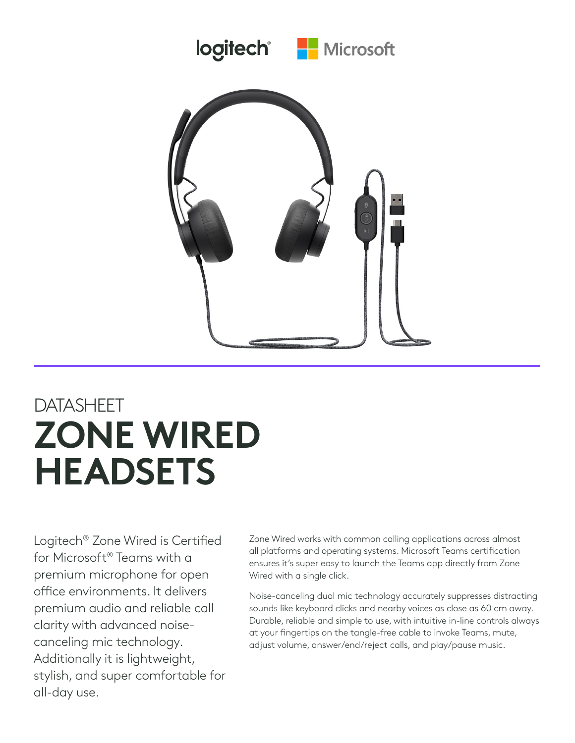



## DATASHEET **ZONE WIRED HEADSETS**

Logitech® Zone Wired is Certified for Microsoft® Teams with a premium microphone for open office environments. It delivers premium audio and reliable call clarity with advanced noisecanceling mic technology. Additionally it is lightweight, stylish, and super comfortable for all-day use.

Zone Wired works with common calling applications across almost all platforms and operating systems. Microsoft Teams certification ensures it's super easy to launch the Teams app directly from Zone Wired with a single click.

Noise-canceling dual mic technology accurately suppresses distracting sounds like keyboard clicks and nearby voices as close as 60 cm away. Durable, reliable and simple to use, with intuitive in-line controls always at your fingertips on the tangle-free cable to invoke Teams, mute, adjust volume, answer/end/reject calls, and play/pause music.